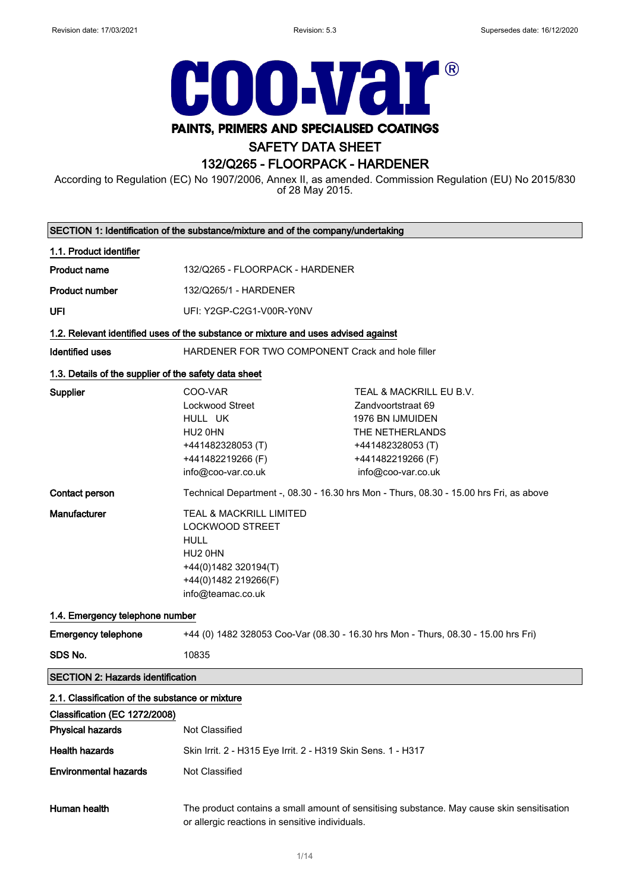$\overline{\phantom{0}}$ 



# PAINTS, PRIMERS AND SPECIALISED COATINGS

# SAFETY DATA SHEET

# 132/Q265 - FLOORPACK - HARDENER

According to Regulation (EC) No 1907/2006, Annex II, as amended. Commission Regulation (EU) No 2015/830 of 28 May 2015.

|                                                       | SECTION 1: Identification of the substance/mixture and of the company/undertaking                                                                            |                                                                                                                                                      |
|-------------------------------------------------------|--------------------------------------------------------------------------------------------------------------------------------------------------------------|------------------------------------------------------------------------------------------------------------------------------------------------------|
| 1.1. Product identifier                               |                                                                                                                                                              |                                                                                                                                                      |
| <b>Product name</b>                                   | 132/Q265 - FLOORPACK - HARDENER                                                                                                                              |                                                                                                                                                      |
| <b>Product number</b>                                 | 132/Q265/1 - HARDENER                                                                                                                                        |                                                                                                                                                      |
| UFI                                                   | UFI: Y2GP-C2G1-V00R-Y0NV                                                                                                                                     |                                                                                                                                                      |
|                                                       | 1.2. Relevant identified uses of the substance or mixture and uses advised against                                                                           |                                                                                                                                                      |
| <b>Identified uses</b>                                | HARDENER FOR TWO COMPONENT Crack and hole filler                                                                                                             |                                                                                                                                                      |
| 1.3. Details of the supplier of the safety data sheet |                                                                                                                                                              |                                                                                                                                                      |
| <b>Supplier</b>                                       | COO-VAR<br>Lockwood Street<br>HULL UK<br>HU <sub>2</sub> 0HN<br>+441482328053 (T)<br>+441482219266 (F)<br>info@coo-var.co.uk                                 | TEAL & MACKRILL EU B.V.<br>Zandvoortstraat 69<br>1976 BN IJMUIDEN<br>THE NETHERLANDS<br>+441482328053 (T)<br>+441482219266 (F)<br>info@coo-var.co.uk |
| Contact person                                        |                                                                                                                                                              | Technical Department -, 08.30 - 16.30 hrs Mon - Thurs, 08.30 - 15.00 hrs Fri, as above                                                               |
| <b>Manufacturer</b>                                   | TEAL & MACKRILL LIMITED<br><b>LOCKWOOD STREET</b><br><b>HULL</b><br>HU <sub>2</sub> 0HN<br>+44(0)1482 320194(T)<br>+44(0)1482 219266(F)<br>info@teamac.co.uk |                                                                                                                                                      |
| 1.4. Emergency telephone number                       |                                                                                                                                                              |                                                                                                                                                      |
| <b>Emergency telephone</b>                            | +44 (0) 1482 328053 Coo-Var (08.30 - 16.30 hrs Mon - Thurs, 08.30 - 15.00 hrs Fri)                                                                           |                                                                                                                                                      |
| SDS No.                                               | 10835                                                                                                                                                        |                                                                                                                                                      |
| <b>SECTION 2: Hazards identification</b>              |                                                                                                                                                              |                                                                                                                                                      |
| 2.1. Classification of the substance or mixture       |                                                                                                                                                              |                                                                                                                                                      |
| Classification (EC 1272/2008)                         |                                                                                                                                                              |                                                                                                                                                      |
| <b>Physical hazards</b>                               | Not Classified                                                                                                                                               |                                                                                                                                                      |
| <b>Health hazards</b>                                 | Skin Irrit. 2 - H315 Eye Irrit. 2 - H319 Skin Sens. 1 - H317                                                                                                 |                                                                                                                                                      |
| <b>Environmental hazards</b>                          | Not Classified                                                                                                                                               |                                                                                                                                                      |
| Human health                                          | or allergic reactions in sensitive individuals.                                                                                                              | The product contains a small amount of sensitising substance. May cause skin sensitisation                                                           |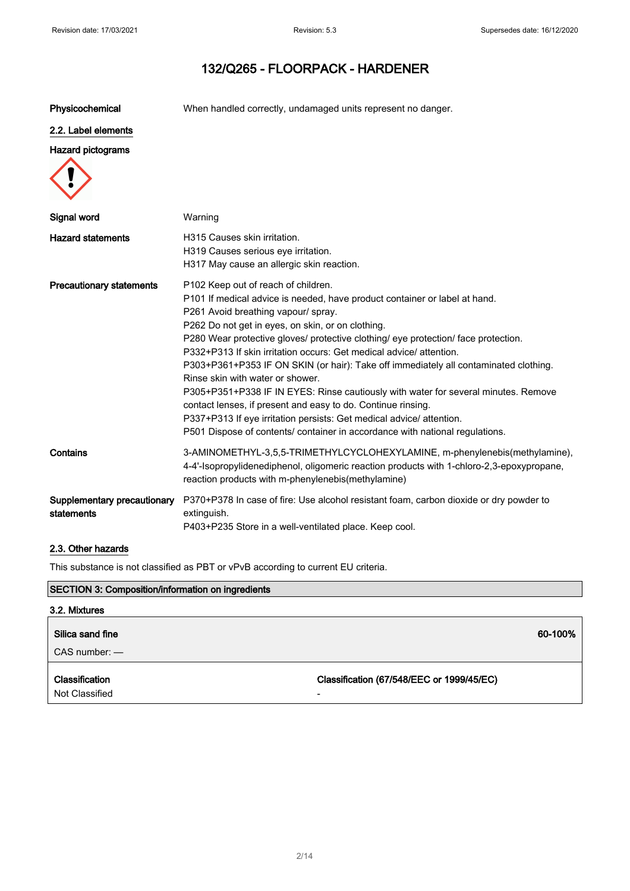Physicochemical When handled correctly, undamaged units represent no danger.

#### 2.2. Label elements

#### Hazard pictograms



#### 2.3. Other hazards

This substance is not classified as PBT or vPvB according to current EU criteria.

| <b>SECTION 3: Composition/information on ingredients</b> |                                                |  |
|----------------------------------------------------------|------------------------------------------------|--|
| 3.2. Mixtures                                            |                                                |  |
| Silica sand fine<br>$CAS$ number: $-$                    | 60-100%                                        |  |
| <b>Classification</b><br>Not Classified                  | Classification (67/548/EEC or 1999/45/EC)<br>- |  |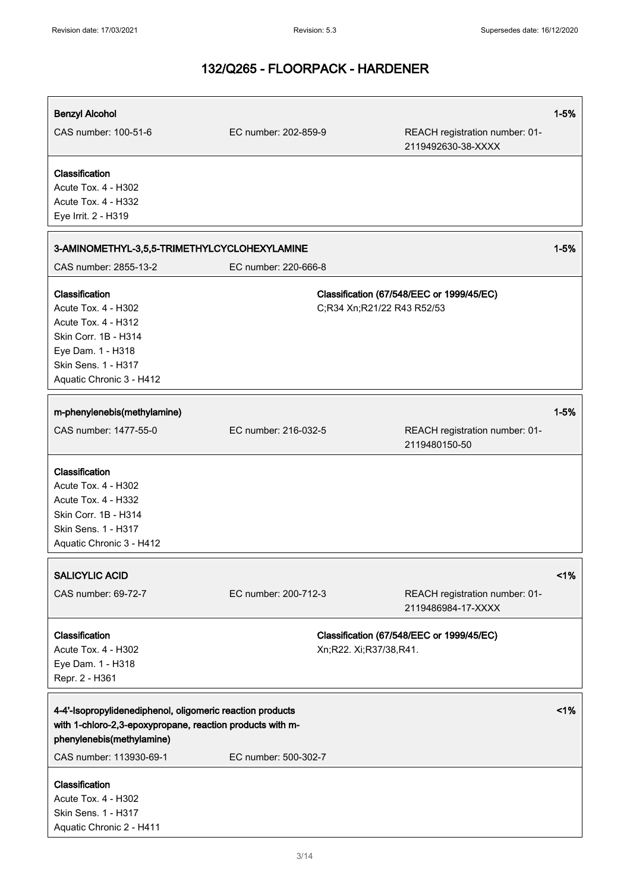| <b>Benzyl Alcohol</b>                                     |                        |                                                      | $1 - 5%$ |
|-----------------------------------------------------------|------------------------|------------------------------------------------------|----------|
| CAS number: 100-51-6                                      | EC number: 202-859-9   | REACH registration number: 01-<br>2119492630-38-XXXX |          |
| Classification                                            |                        |                                                      |          |
| Acute Tox. 4 - H302                                       |                        |                                                      |          |
| Acute Tox. 4 - H332                                       |                        |                                                      |          |
| Eye Irrit. 2 - H319                                       |                        |                                                      |          |
|                                                           |                        |                                                      |          |
| 3-AMINOMETHYL-3,5,5-TRIMETHYLCYCLOHEXYLAMINE              |                        |                                                      | $1 - 5%$ |
| CAS number: 2855-13-2                                     | EC number: 220-666-8   |                                                      |          |
| Classification                                            |                        | Classification (67/548/EEC or 1999/45/EC)            |          |
| Acute Tox. 4 - H302                                       |                        | C;R34 Xn;R21/22 R43 R52/53                           |          |
| <b>Acute Tox. 4 - H312</b>                                |                        |                                                      |          |
| Skin Corr. 1B - H314                                      |                        |                                                      |          |
| Eye Dam. 1 - H318                                         |                        |                                                      |          |
| Skin Sens. 1 - H317                                       |                        |                                                      |          |
| Aquatic Chronic 3 - H412                                  |                        |                                                      |          |
|                                                           |                        |                                                      |          |
| m-phenylenebis(methylamine)                               |                        |                                                      | $1 - 5%$ |
| CAS number: 1477-55-0                                     | EC number: 216-032-5   | REACH registration number: 01-                       |          |
|                                                           |                        | 2119480150-50                                        |          |
|                                                           |                        |                                                      |          |
| Classification                                            |                        |                                                      |          |
| Acute Tox. 4 - H302                                       |                        |                                                      |          |
| Acute Tox. 4 - H332<br>Skin Corr. 1B - H314               |                        |                                                      |          |
| Skin Sens. 1 - H317                                       |                        |                                                      |          |
| Aquatic Chronic 3 - H412                                  |                        |                                                      |          |
|                                                           |                        |                                                      |          |
| <b>SALICYLIC ACID</b>                                     |                        |                                                      | 1%       |
| CAS number: 69-72-7                                       | EC number: 200-712-3   | REACH registration number: 01-                       |          |
|                                                           |                        | 2119486984-17-XXXX                                   |          |
|                                                           |                        |                                                      |          |
| Classification                                            |                        | Classification (67/548/EEC or 1999/45/EC)            |          |
| Acute Tox. 4 - H302                                       | Xn;R22. Xi;R37/38,R41. |                                                      |          |
| Eye Dam. 1 - H318                                         |                        |                                                      |          |
| Repr. 2 - H361                                            |                        |                                                      |          |
|                                                           |                        |                                                      |          |
| 4-4'-Isopropylidenediphenol, oligomeric reaction products |                        |                                                      | 1%       |
| with 1-chloro-2,3-epoxypropane, reaction products with m- |                        |                                                      |          |
| phenylenebis(methylamine)                                 |                        |                                                      |          |
| CAS number: 113930-69-1                                   | EC number: 500-302-7   |                                                      |          |
| Classification                                            |                        |                                                      |          |
| Acute Tox. 4 - H302                                       |                        |                                                      |          |
| Skin Sens. 1 - H317                                       |                        |                                                      |          |
| Aquatic Chronic 2 - H411                                  |                        |                                                      |          |
|                                                           |                        |                                                      |          |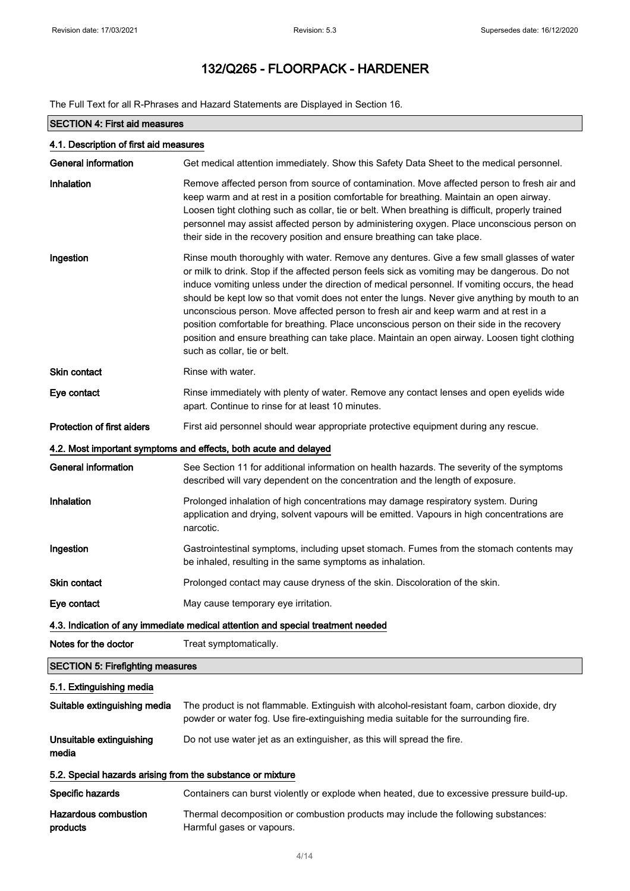The Full Text for all R-Phrases and Hazard Statements are Displayed in Section 16.

| <b>SECTION 4: First aid measures</b>                       |                                                                                                                                                                                                                                                                                                                                                                                                                                                                                                                                                                                                                                                                                                                    |  |
|------------------------------------------------------------|--------------------------------------------------------------------------------------------------------------------------------------------------------------------------------------------------------------------------------------------------------------------------------------------------------------------------------------------------------------------------------------------------------------------------------------------------------------------------------------------------------------------------------------------------------------------------------------------------------------------------------------------------------------------------------------------------------------------|--|
| 4.1. Description of first aid measures                     |                                                                                                                                                                                                                                                                                                                                                                                                                                                                                                                                                                                                                                                                                                                    |  |
| <b>General information</b>                                 | Get medical attention immediately. Show this Safety Data Sheet to the medical personnel.                                                                                                                                                                                                                                                                                                                                                                                                                                                                                                                                                                                                                           |  |
| Inhalation                                                 | Remove affected person from source of contamination. Move affected person to fresh air and<br>keep warm and at rest in a position comfortable for breathing. Maintain an open airway.<br>Loosen tight clothing such as collar, tie or belt. When breathing is difficult, properly trained<br>personnel may assist affected person by administering oxygen. Place unconscious person on<br>their side in the recovery position and ensure breathing can take place.                                                                                                                                                                                                                                                 |  |
| Ingestion                                                  | Rinse mouth thoroughly with water. Remove any dentures. Give a few small glasses of water<br>or milk to drink. Stop if the affected person feels sick as vomiting may be dangerous. Do not<br>induce vomiting unless under the direction of medical personnel. If vomiting occurs, the head<br>should be kept low so that vomit does not enter the lungs. Never give anything by mouth to an<br>unconscious person. Move affected person to fresh air and keep warm and at rest in a<br>position comfortable for breathing. Place unconscious person on their side in the recovery<br>position and ensure breathing can take place. Maintain an open airway. Loosen tight clothing<br>such as collar, tie or belt. |  |
| <b>Skin contact</b>                                        | Rinse with water.                                                                                                                                                                                                                                                                                                                                                                                                                                                                                                                                                                                                                                                                                                  |  |
| Eye contact                                                | Rinse immediately with plenty of water. Remove any contact lenses and open eyelids wide<br>apart. Continue to rinse for at least 10 minutes.                                                                                                                                                                                                                                                                                                                                                                                                                                                                                                                                                                       |  |
| <b>Protection of first aiders</b>                          | First aid personnel should wear appropriate protective equipment during any rescue.                                                                                                                                                                                                                                                                                                                                                                                                                                                                                                                                                                                                                                |  |
|                                                            | 4.2. Most important symptoms and effects, both acute and delayed                                                                                                                                                                                                                                                                                                                                                                                                                                                                                                                                                                                                                                                   |  |
| <b>General information</b>                                 | See Section 11 for additional information on health hazards. The severity of the symptoms<br>described will vary dependent on the concentration and the length of exposure.                                                                                                                                                                                                                                                                                                                                                                                                                                                                                                                                        |  |
| Inhalation                                                 | Prolonged inhalation of high concentrations may damage respiratory system. During<br>application and drying, solvent vapours will be emitted. Vapours in high concentrations are<br>narcotic.                                                                                                                                                                                                                                                                                                                                                                                                                                                                                                                      |  |
| Ingestion                                                  | Gastrointestinal symptoms, including upset stomach. Fumes from the stomach contents may<br>be inhaled, resulting in the same symptoms as inhalation.                                                                                                                                                                                                                                                                                                                                                                                                                                                                                                                                                               |  |
| <b>Skin contact</b>                                        | Prolonged contact may cause dryness of the skin. Discoloration of the skin.                                                                                                                                                                                                                                                                                                                                                                                                                                                                                                                                                                                                                                        |  |
| Eye contact                                                | May cause temporary eye irritation.                                                                                                                                                                                                                                                                                                                                                                                                                                                                                                                                                                                                                                                                                |  |
|                                                            | 4.3. Indication of any immediate medical attention and special treatment needed                                                                                                                                                                                                                                                                                                                                                                                                                                                                                                                                                                                                                                    |  |
| Notes for the doctor                                       | Treat symptomatically.                                                                                                                                                                                                                                                                                                                                                                                                                                                                                                                                                                                                                                                                                             |  |
| <b>SECTION 5: Firefighting measures</b>                    |                                                                                                                                                                                                                                                                                                                                                                                                                                                                                                                                                                                                                                                                                                                    |  |
| 5.1. Extinguishing media                                   |                                                                                                                                                                                                                                                                                                                                                                                                                                                                                                                                                                                                                                                                                                                    |  |
| Suitable extinguishing media                               | The product is not flammable. Extinguish with alcohol-resistant foam, carbon dioxide, dry<br>powder or water fog. Use fire-extinguishing media suitable for the surrounding fire.                                                                                                                                                                                                                                                                                                                                                                                                                                                                                                                                  |  |
| Unsuitable extinguishing<br>media                          | Do not use water jet as an extinguisher, as this will spread the fire.                                                                                                                                                                                                                                                                                                                                                                                                                                                                                                                                                                                                                                             |  |
| 5.2. Special hazards arising from the substance or mixture |                                                                                                                                                                                                                                                                                                                                                                                                                                                                                                                                                                                                                                                                                                                    |  |
| Specific hazards                                           | Containers can burst violently or explode when heated, due to excessive pressure build-up.                                                                                                                                                                                                                                                                                                                                                                                                                                                                                                                                                                                                                         |  |
| <b>Hazardous combustion</b><br>products                    | Thermal decomposition or combustion products may include the following substances:<br>Harmful gases or vapours.                                                                                                                                                                                                                                                                                                                                                                                                                                                                                                                                                                                                    |  |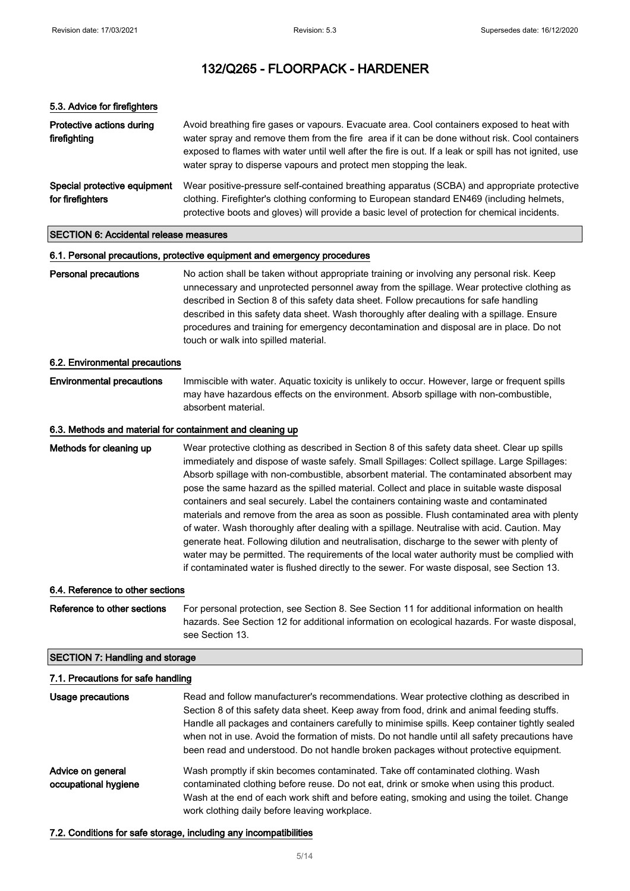| 5.3. Advice for firefighters                              |                                                                                                                                                                                                                                                                                                                                                                                                                                                                                                                                                                                                                                                                                                                                                                                                                                                                                                                                                                            |
|-----------------------------------------------------------|----------------------------------------------------------------------------------------------------------------------------------------------------------------------------------------------------------------------------------------------------------------------------------------------------------------------------------------------------------------------------------------------------------------------------------------------------------------------------------------------------------------------------------------------------------------------------------------------------------------------------------------------------------------------------------------------------------------------------------------------------------------------------------------------------------------------------------------------------------------------------------------------------------------------------------------------------------------------------|
| Protective actions during<br>firefighting                 | Avoid breathing fire gases or vapours. Evacuate area. Cool containers exposed to heat with<br>water spray and remove them from the fire area if it can be done without risk. Cool containers<br>exposed to flames with water until well after the fire is out. If a leak or spill has not ignited, use<br>water spray to disperse vapours and protect men stopping the leak.                                                                                                                                                                                                                                                                                                                                                                                                                                                                                                                                                                                               |
| Special protective equipment<br>for firefighters          | Wear positive-pressure self-contained breathing apparatus (SCBA) and appropriate protective<br>clothing. Firefighter's clothing conforming to European standard EN469 (including helmets,<br>protective boots and gloves) will provide a basic level of protection for chemical incidents.                                                                                                                                                                                                                                                                                                                                                                                                                                                                                                                                                                                                                                                                                 |
| <b>SECTION 6: Accidental release measures</b>             |                                                                                                                                                                                                                                                                                                                                                                                                                                                                                                                                                                                                                                                                                                                                                                                                                                                                                                                                                                            |
|                                                           | 6.1. Personal precautions, protective equipment and emergency procedures                                                                                                                                                                                                                                                                                                                                                                                                                                                                                                                                                                                                                                                                                                                                                                                                                                                                                                   |
| <b>Personal precautions</b>                               | No action shall be taken without appropriate training or involving any personal risk. Keep<br>unnecessary and unprotected personnel away from the spillage. Wear protective clothing as<br>described in Section 8 of this safety data sheet. Follow precautions for safe handling<br>described in this safety data sheet. Wash thoroughly after dealing with a spillage. Ensure<br>procedures and training for emergency decontamination and disposal are in place. Do not<br>touch or walk into spilled material.                                                                                                                                                                                                                                                                                                                                                                                                                                                         |
| 6.2. Environmental precautions                            |                                                                                                                                                                                                                                                                                                                                                                                                                                                                                                                                                                                                                                                                                                                                                                                                                                                                                                                                                                            |
| <b>Environmental precautions</b>                          | Immiscible with water. Aquatic toxicity is unlikely to occur. However, large or frequent spills<br>may have hazardous effects on the environment. Absorb spillage with non-combustible,<br>absorbent material.                                                                                                                                                                                                                                                                                                                                                                                                                                                                                                                                                                                                                                                                                                                                                             |
| 6.3. Methods and material for containment and cleaning up |                                                                                                                                                                                                                                                                                                                                                                                                                                                                                                                                                                                                                                                                                                                                                                                                                                                                                                                                                                            |
| Methods for cleaning up                                   | Wear protective clothing as described in Section 8 of this safety data sheet. Clear up spills<br>immediately and dispose of waste safely. Small Spillages: Collect spillage. Large Spillages:<br>Absorb spillage with non-combustible, absorbent material. The contaminated absorbent may<br>pose the same hazard as the spilled material. Collect and place in suitable waste disposal<br>containers and seal securely. Label the containers containing waste and contaminated<br>materials and remove from the area as soon as possible. Flush contaminated area with plenty<br>of water. Wash thoroughly after dealing with a spillage. Neutralise with acid. Caution. May<br>generate heat. Following dilution and neutralisation, discharge to the sewer with plenty of<br>water may be permitted. The requirements of the local water authority must be complied with<br>if contaminated water is flushed directly to the sewer. For waste disposal, see Section 13. |
| 6.4. Reference to other sections                          |                                                                                                                                                                                                                                                                                                                                                                                                                                                                                                                                                                                                                                                                                                                                                                                                                                                                                                                                                                            |
| Reference to other sections                               | For personal protection, see Section 8. See Section 11 for additional information on health<br>hazards. See Section 12 for additional information on ecological hazards. For waste disposal,                                                                                                                                                                                                                                                                                                                                                                                                                                                                                                                                                                                                                                                                                                                                                                               |

## SECTION 7: Handling and storage

| 7.1. Precautions for safe handling        |                                                                                                                                                                                                                                                                                                                                                                                                                                                                                     |  |
|-------------------------------------------|-------------------------------------------------------------------------------------------------------------------------------------------------------------------------------------------------------------------------------------------------------------------------------------------------------------------------------------------------------------------------------------------------------------------------------------------------------------------------------------|--|
| Usage precautions                         | Read and follow manufacturer's recommendations. Wear protective clothing as described in<br>Section 8 of this safety data sheet. Keep away from food, drink and animal feeding stuffs.<br>Handle all packages and containers carefully to minimise spills. Keep container tightly sealed<br>when not in use. Avoid the formation of mists. Do not handle until all safety precautions have<br>been read and understood. Do not handle broken packages without protective equipment. |  |
| Advice on general<br>occupational hygiene | Wash promptly if skin becomes contaminated. Take off contaminated clothing. Wash<br>contaminated clothing before reuse. Do not eat, drink or smoke when using this product.<br>Wash at the end of each work shift and before eating, smoking and using the toilet. Change<br>work clothing daily before leaving workplace.                                                                                                                                                          |  |

### 7.2. Conditions for safe storage, including any incompatibilities

see Section 13.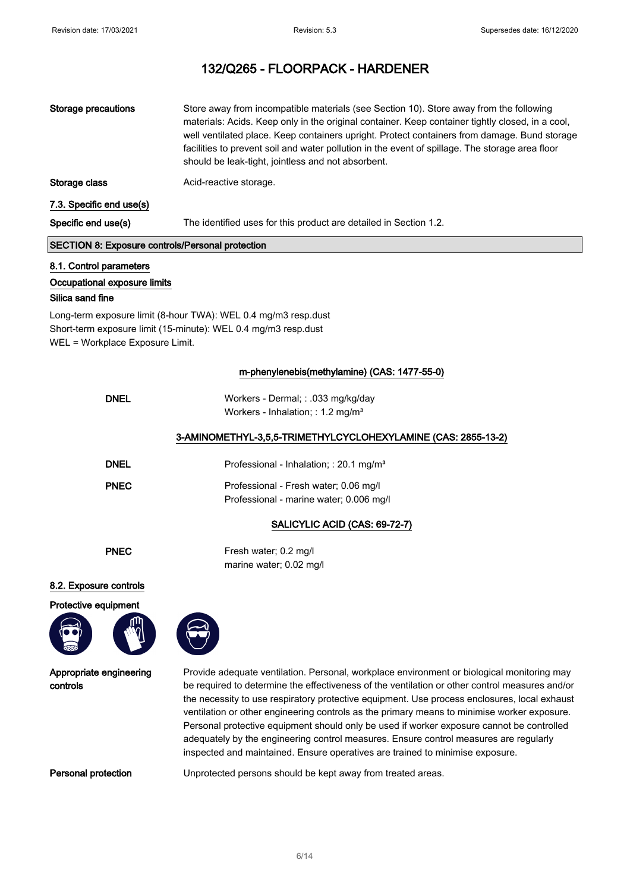| <b>Storage precautions</b> | Store away from incompatible materials (see Section 10). Store away from the following<br>materials: Acids. Keep only in the original container. Keep container tightly closed, in a cool,<br>well ventilated place. Keep containers upright. Protect containers from damage. Bund storage<br>facilities to prevent soil and water pollution in the event of spillage. The storage area floor<br>should be leak-tight, jointless and not absorbent. |
|----------------------------|-----------------------------------------------------------------------------------------------------------------------------------------------------------------------------------------------------------------------------------------------------------------------------------------------------------------------------------------------------------------------------------------------------------------------------------------------------|
| Storage class              | Acid-reactive storage.                                                                                                                                                                                                                                                                                                                                                                                                                              |
| 7.3. Specific end use(s)   |                                                                                                                                                                                                                                                                                                                                                                                                                                                     |
| Specific end use(s)        | The identified uses for this product are detailed in Section 1.2.                                                                                                                                                                                                                                                                                                                                                                                   |
|                            |                                                                                                                                                                                                                                                                                                                                                                                                                                                     |

## SECTION 8: Exposure controls/Personal protection

### 8.1. Control parameters

#### Occupational exposure limits

#### Silica sand fine

Long-term exposure limit (8-hour TWA): WEL 0.4 mg/m3 resp.dust Short-term exposure limit (15-minute): WEL 0.4 mg/m3 resp.dust WEL = Workplace Exposure Limit.

### m-phenylenebis(methylamine) (CAS: 1477-55-0)

| <b>DNEL</b> | Workers - Dermal; : .033 mg/kg/day<br>Workers - Inhalation; : 1.2 mg/m <sup>3</sup> |
|-------------|-------------------------------------------------------------------------------------|
|             | 3-AMINOMETHYL-3,5,5-TRIMETHYLCYCLOHEXYLAMINE (CAS: 2855-13-2)                       |
| <b>DNEL</b> | Professional - Inhalation; : 20.1 mg/m <sup>3</sup>                                 |
| <b>PNEC</b> | Professional - Fresh water; 0.06 mg/l<br>Professional - marine water; 0.006 mg/l    |

## SALICYLIC ACID (CAS: 69-72-7)

PNEC Fresh water; 0.2 mg/l marine water; 0.02 mg/l

#### 8.2. Exposure controls

#### Protective equipment



Appropriate engineering controls

Provide adequate ventilation. Personal, workplace environment or biological monitoring may be required to determine the effectiveness of the ventilation or other control measures and/or the necessity to use respiratory protective equipment. Use process enclosures, local exhaust ventilation or other engineering controls as the primary means to minimise worker exposure. Personal protective equipment should only be used if worker exposure cannot be controlled adequately by the engineering control measures. Ensure control measures are regularly inspected and maintained. Ensure operatives are trained to minimise exposure.

Personal protection Unprotected persons should be kept away from treated areas.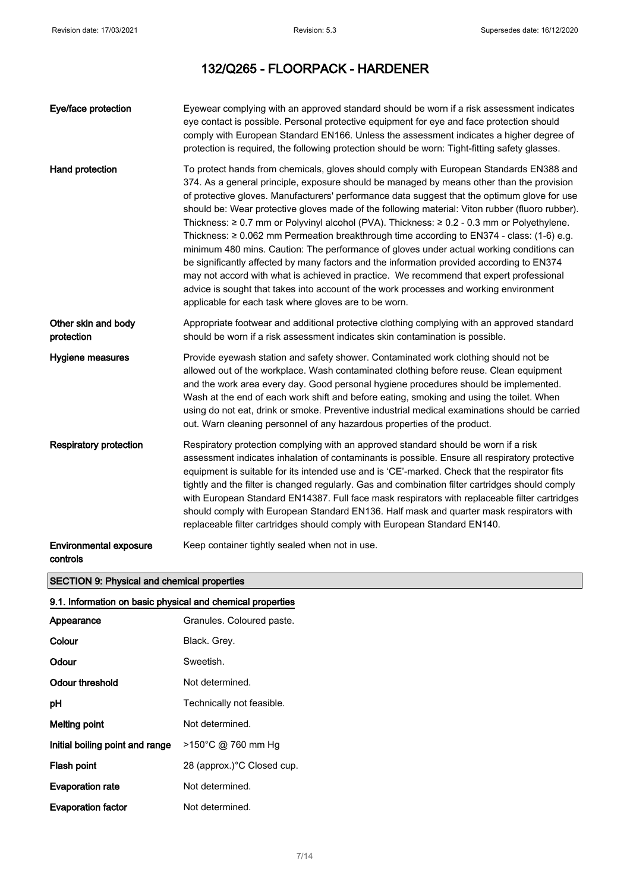| Eye/face protection                       | Eyewear complying with an approved standard should be worn if a risk assessment indicates<br>eye contact is possible. Personal protective equipment for eye and face protection should<br>comply with European Standard EN166. Unless the assessment indicates a higher degree of<br>protection is required, the following protection should be worn: Tight-fitting safety glasses.                                                                                                                                                                                                                                                                                                                                                                                                                                                                                                                                                                                                                                                      |
|-------------------------------------------|------------------------------------------------------------------------------------------------------------------------------------------------------------------------------------------------------------------------------------------------------------------------------------------------------------------------------------------------------------------------------------------------------------------------------------------------------------------------------------------------------------------------------------------------------------------------------------------------------------------------------------------------------------------------------------------------------------------------------------------------------------------------------------------------------------------------------------------------------------------------------------------------------------------------------------------------------------------------------------------------------------------------------------------|
| Hand protection                           | To protect hands from chemicals, gloves should comply with European Standards EN388 and<br>374. As a general principle, exposure should be managed by means other than the provision<br>of protective gloves. Manufacturers' performance data suggest that the optimum glove for use<br>should be: Wear protective gloves made of the following material: Viton rubber (fluoro rubber).<br>Thickness: $\geq 0.7$ mm or Polyvinyl alcohol (PVA). Thickness: $\geq 0.2$ - 0.3 mm or Polyethylene.<br>Thickness: $\geq 0.062$ mm Permeation breakthrough time according to EN374 - class: (1-6) e.g.<br>minimum 480 mins. Caution: The performance of gloves under actual working conditions can<br>be significantly affected by many factors and the information provided according to EN374<br>may not accord with what is achieved in practice. We recommend that expert professional<br>advice is sought that takes into account of the work processes and working environment<br>applicable for each task where gloves are to be worn. |
| Other skin and body<br>protection         | Appropriate footwear and additional protective clothing complying with an approved standard<br>should be worn if a risk assessment indicates skin contamination is possible.                                                                                                                                                                                                                                                                                                                                                                                                                                                                                                                                                                                                                                                                                                                                                                                                                                                             |
| Hygiene measures                          | Provide eyewash station and safety shower. Contaminated work clothing should not be<br>allowed out of the workplace. Wash contaminated clothing before reuse. Clean equipment<br>and the work area every day. Good personal hygiene procedures should be implemented.<br>Wash at the end of each work shift and before eating, smoking and using the toilet. When<br>using do not eat, drink or smoke. Preventive industrial medical examinations should be carried<br>out. Warn cleaning personnel of any hazardous properties of the product.                                                                                                                                                                                                                                                                                                                                                                                                                                                                                          |
| <b>Respiratory protection</b>             | Respiratory protection complying with an approved standard should be worn if a risk<br>assessment indicates inhalation of contaminants is possible. Ensure all respiratory protective<br>equipment is suitable for its intended use and is 'CE'-marked. Check that the respirator fits<br>tightly and the filter is changed regularly. Gas and combination filter cartridges should comply<br>with European Standard EN14387. Full face mask respirators with replaceable filter cartridges<br>should comply with European Standard EN136. Half mask and quarter mask respirators with<br>replaceable filter cartridges should comply with European Standard EN140.                                                                                                                                                                                                                                                                                                                                                                      |
| <b>Environmental exposure</b><br>controls | Keep container tightly sealed when not in use.                                                                                                                                                                                                                                                                                                                                                                                                                                                                                                                                                                                                                                                                                                                                                                                                                                                                                                                                                                                           |

## SECTION 9: Physical and chemical properties

### 9.1. Information on basic physical and chemical properties

| Appearance                      | Granules. Coloured paste.  |
|---------------------------------|----------------------------|
| Colour                          | Black. Grey.               |
| Odour                           | Sweetish.                  |
| Odour threshold                 | Not determined.            |
| рH                              | Technically not feasible.  |
| Melting point                   | Not determined.            |
| Initial boiling point and range | >150°C @ 760 mm Hg         |
| Flash point                     | 28 (approx.)°C Closed cup. |
| <b>Evaporation rate</b>         | Not determined.            |
| <b>Evaporation factor</b>       | Not determined.            |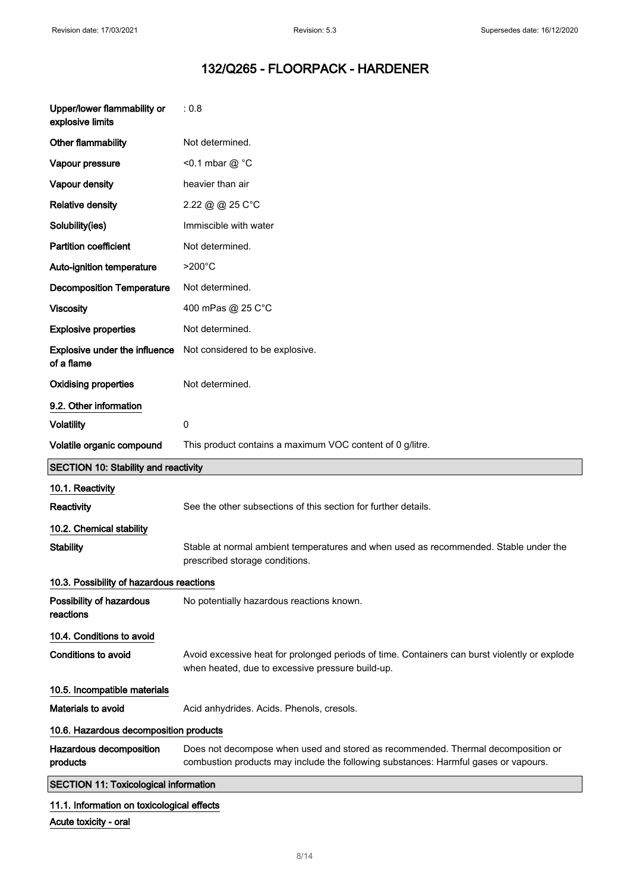| Upper/lower flammability or<br>explosive limits | : 0.8                                                                                                                                                                   |  |  |
|-------------------------------------------------|-------------------------------------------------------------------------------------------------------------------------------------------------------------------------|--|--|
| Other flammability                              | Not determined.                                                                                                                                                         |  |  |
| Vapour pressure                                 | <0.1 mbar @ $^{\circ}$ C                                                                                                                                                |  |  |
| Vapour density                                  | heavier than air                                                                                                                                                        |  |  |
| <b>Relative density</b>                         | 2.22 @ @ 25 C°C                                                                                                                                                         |  |  |
| Solubility(ies)                                 | Immiscible with water                                                                                                                                                   |  |  |
| <b>Partition coefficient</b>                    | Not determined.                                                                                                                                                         |  |  |
| Auto-ignition temperature                       | $>200^{\circ}$ C                                                                                                                                                        |  |  |
| <b>Decomposition Temperature</b>                | Not determined.                                                                                                                                                         |  |  |
| <b>Viscosity</b>                                | 400 mPas @ 25 C°C                                                                                                                                                       |  |  |
| <b>Explosive properties</b>                     | Not determined.                                                                                                                                                         |  |  |
| Explosive under the influence<br>of a flame     | Not considered to be explosive.                                                                                                                                         |  |  |
| <b>Oxidising properties</b>                     | Not determined.                                                                                                                                                         |  |  |
| 9.2. Other information                          |                                                                                                                                                                         |  |  |
| <b>Volatility</b>                               | 0                                                                                                                                                                       |  |  |
| Volatile organic compound                       | This product contains a maximum VOC content of 0 g/litre.                                                                                                               |  |  |
|                                                 | <b>SECTION 10: Stability and reactivity</b>                                                                                                                             |  |  |
|                                                 |                                                                                                                                                                         |  |  |
| 10.1. Reactivity                                |                                                                                                                                                                         |  |  |
| Reactivity                                      | See the other subsections of this section for further details.                                                                                                          |  |  |
| 10.2. Chemical stability                        |                                                                                                                                                                         |  |  |
| <b>Stability</b>                                | Stable at normal ambient temperatures and when used as recommended. Stable under the<br>prescribed storage conditions.                                                  |  |  |
| 10.3. Possibility of hazardous reactions        |                                                                                                                                                                         |  |  |
| Possibility of hazardous<br>reactions           | No potentially hazardous reactions known.                                                                                                                               |  |  |
| 10.4. Conditions to avoid                       |                                                                                                                                                                         |  |  |
| <b>Conditions to avoid</b>                      | Avoid excessive heat for prolonged periods of time. Containers can burst violently or explode<br>when heated, due to excessive pressure build-up.                       |  |  |
| 10.5. Incompatible materials                    |                                                                                                                                                                         |  |  |
| <b>Materials to avoid</b>                       | Acid anhydrides. Acids. Phenols, cresols.                                                                                                                               |  |  |
| 10.6. Hazardous decomposition products          |                                                                                                                                                                         |  |  |
| Hazardous decomposition<br>products             | Does not decompose when used and stored as recommended. Thermal decomposition or<br>combustion products may include the following substances: Harmful gases or vapours. |  |  |
| <b>SECTION 11: Toxicological information</b>    |                                                                                                                                                                         |  |  |

Acute toxicity - oral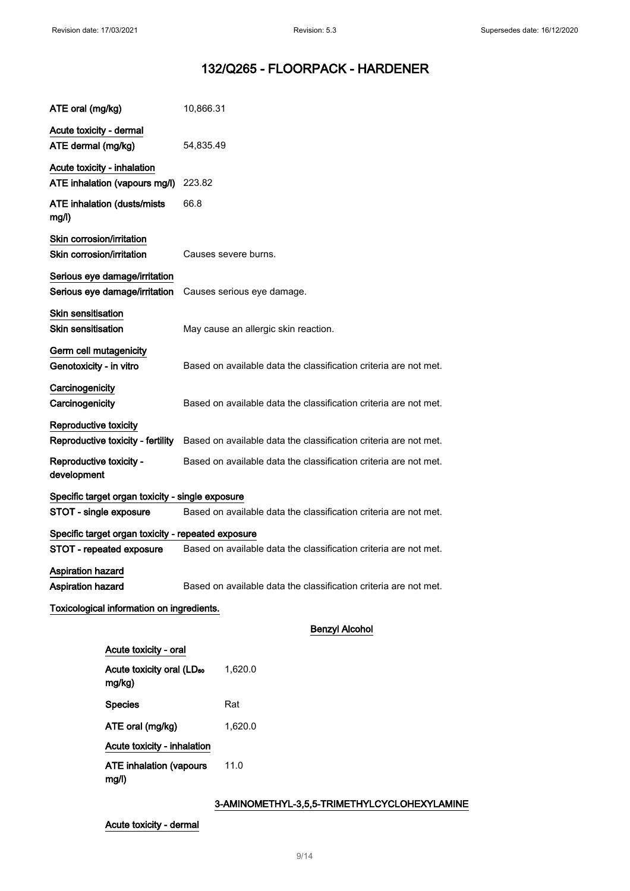| ATE oral (mg/kg)                                               | 10,866.31                                                        |
|----------------------------------------------------------------|------------------------------------------------------------------|
| Acute toxicity - dermal                                        |                                                                  |
| ATE dermal (mg/kg)                                             | 54,835.49                                                        |
| Acute toxicity - inhalation                                    |                                                                  |
| ATE inhalation (vapours mg/l)                                  | 223.82                                                           |
| <b>ATE inhalation (dusts/mists)</b><br>mg/l)                   | 66.8                                                             |
| Skin corrosion/irritation                                      |                                                                  |
| Skin corrosion/irritation                                      | Causes severe burns.                                             |
| Serious eye damage/irritation<br>Serious eye damage/irritation | Causes serious eye damage.                                       |
| <b>Skin sensitisation</b><br><b>Skin sensitisation</b>         | May cause an allergic skin reaction.                             |
|                                                                |                                                                  |
| Germ cell mutagenicity<br>Genotoxicity - in vitro              | Based on available data the classification criteria are not met. |
| Carcinogenicity                                                |                                                                  |
| Carcinogenicity                                                | Based on available data the classification criteria are not met. |
| Reproductive toxicity<br>Reproductive toxicity - fertility     | Based on available data the classification criteria are not met. |
| Reproductive toxicity -<br>development                         | Based on available data the classification criteria are not met. |
| Specific target organ toxicity - single exposure               |                                                                  |
| STOT - single exposure                                         | Based on available data the classification criteria are not met. |
| Specific target organ toxicity - repeated exposure             |                                                                  |
| STOT - repeated exposure                                       | Based on available data the classification criteria are not met. |
| <b>Aspiration hazard</b>                                       |                                                                  |
| <b>Aspiration hazard</b>                                       | Based on available data the classification criteria are not met. |
| Toxicological information on ingredients.                      |                                                                  |
|                                                                | <b>Benzyl Alcohol</b>                                            |
| Acute toxicity - oral                                          |                                                                  |
| Acute toxicity oral (LD <sub>50</sub><br>mg/kg)                | 1,620.0                                                          |
| <b>Species</b>                                                 | Rat                                                              |
| ATE oral (mg/kg)                                               | 1,620.0                                                          |
| Acute toxicity - inhalation                                    |                                                                  |
| <b>ATE inhalation (vapours</b><br>mg/l)                        | 11.0                                                             |

## 3-AMINOMETHYL-3,5,5-TRIMETHYLCYCLOHEXYLAMINE

Acute toxicity - dermal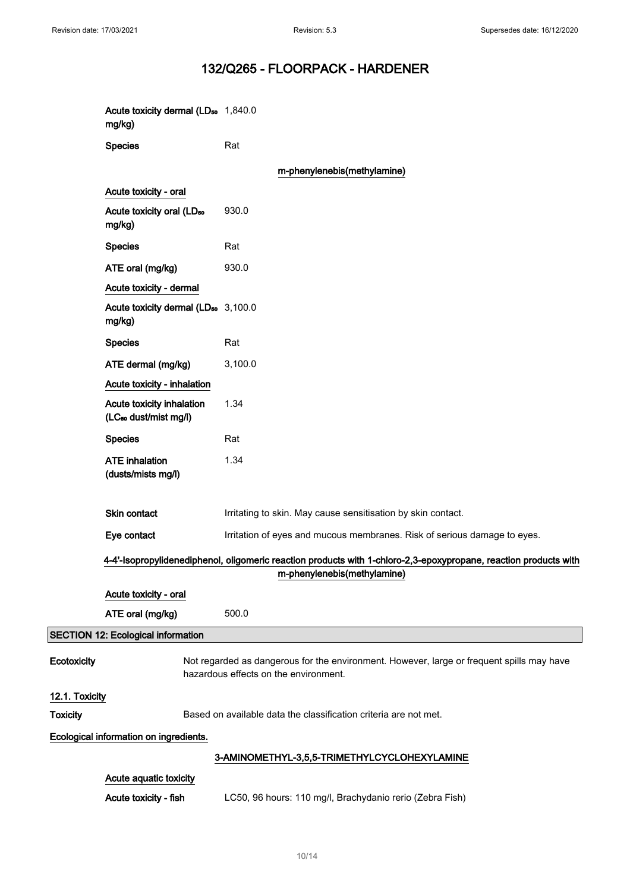|                                        | Acute toxicity dermal (LD <sub>50</sub> 1,840.0<br>mg/kg)      |                                                                                                                                    |  |  |
|----------------------------------------|----------------------------------------------------------------|------------------------------------------------------------------------------------------------------------------------------------|--|--|
|                                        | <b>Species</b>                                                 | Rat                                                                                                                                |  |  |
|                                        |                                                                | m-phenylenebis(methylamine)                                                                                                        |  |  |
|                                        | Acute toxicity - oral                                          |                                                                                                                                    |  |  |
|                                        | Acute toxicity oral (LD <sub>50</sub><br>mg/kg)                | 930.0                                                                                                                              |  |  |
|                                        | <b>Species</b>                                                 | Rat                                                                                                                                |  |  |
|                                        | ATE oral (mg/kg)                                               | 930.0                                                                                                                              |  |  |
|                                        | Acute toxicity - dermal                                        |                                                                                                                                    |  |  |
|                                        | Acute toxicity dermal (LD <sub>50</sub> 3,100.0<br>mg/kg)      |                                                                                                                                    |  |  |
|                                        | <b>Species</b>                                                 | Rat                                                                                                                                |  |  |
|                                        | ATE dermal (mg/kg)                                             | 3,100.0                                                                                                                            |  |  |
|                                        | Acute toxicity - inhalation                                    |                                                                                                                                    |  |  |
|                                        | Acute toxicity inhalation<br>(LC <sub>50</sub> dust/mist mg/l) | 1.34                                                                                                                               |  |  |
|                                        | <b>Species</b>                                                 | Rat                                                                                                                                |  |  |
|                                        | <b>ATE</b> inhalation<br>(dusts/mists mg/l)                    | 1.34                                                                                                                               |  |  |
|                                        | Skin contact                                                   | Irritating to skin. May cause sensitisation by skin contact.                                                                       |  |  |
|                                        | Eye contact                                                    | Irritation of eyes and mucous membranes. Risk of serious damage to eyes.                                                           |  |  |
|                                        |                                                                | 4-4'-Isopropylidenediphenol, oligomeric reaction products with 1-chloro-2,3-epoxypropane, reaction products with                   |  |  |
|                                        |                                                                | m-phenylenebis(methylamine)                                                                                                        |  |  |
|                                        | Acute toxicity - oral                                          |                                                                                                                                    |  |  |
|                                        | ATE oral (mg/kg)                                               | 500.0                                                                                                                              |  |  |
|                                        | <b>SECTION 12: Ecological information</b>                      |                                                                                                                                    |  |  |
| Ecotoxicity                            |                                                                | Not regarded as dangerous for the environment. However, large or frequent spills may have<br>hazardous effects on the environment. |  |  |
| 12.1. Toxicity                         |                                                                |                                                                                                                                    |  |  |
| <b>Toxicity</b>                        |                                                                | Based on available data the classification criteria are not met.                                                                   |  |  |
| Ecological information on ingredients. |                                                                |                                                                                                                                    |  |  |
|                                        |                                                                | 3-AMINOMETHYL-3,5,5-TRIMETHYLCYCLOHEXYLAMINE                                                                                       |  |  |
|                                        | Acute aquatic toxicity                                         |                                                                                                                                    |  |  |
|                                        | Acute toxicity - fish                                          | LC50, 96 hours: 110 mg/l, Brachydanio rerio (Zebra Fish)                                                                           |  |  |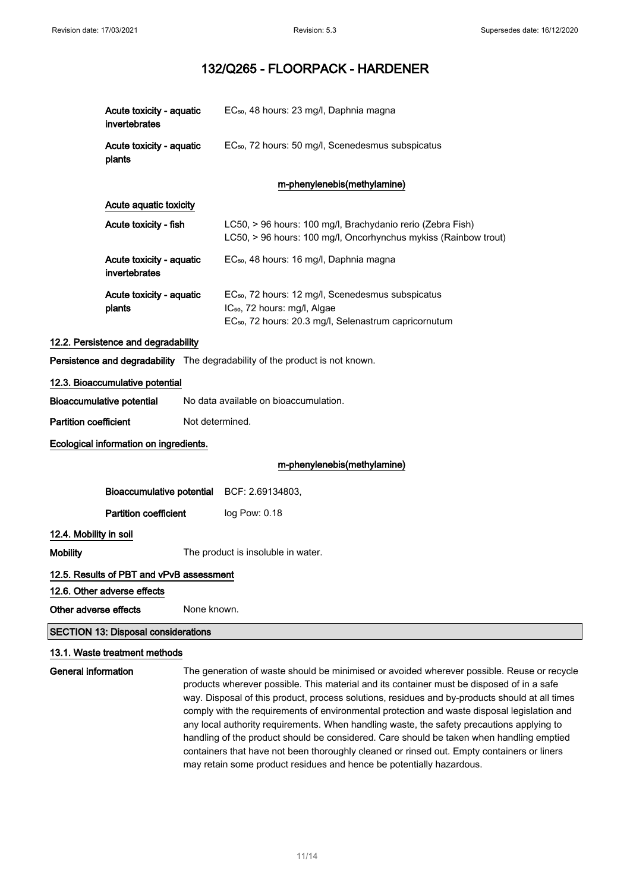|                              | Acute toxicity - aquatic<br>invertebrates  | EC <sub>50</sub> , 48 hours: 23 mg/l, Daphnia magna                                                                                                                            |
|------------------------------|--------------------------------------------|--------------------------------------------------------------------------------------------------------------------------------------------------------------------------------|
|                              | Acute toxicity - aquatic<br>plants         | EC <sub>50</sub> , 72 hours: 50 mg/l, Scenedesmus subspicatus                                                                                                                  |
|                              |                                            | m-phenylenebis(methylamine)                                                                                                                                                    |
|                              | Acute aquatic toxicity                     |                                                                                                                                                                                |
|                              | Acute toxicity - fish                      | LC50, > 96 hours: 100 mg/l, Brachydanio rerio (Zebra Fish)<br>LC50, > 96 hours: 100 mg/l, Oncorhynchus mykiss (Rainbow trout)                                                  |
|                              | Acute toxicity - aquatic<br>invertebrates  | EC <sub>50</sub> , 48 hours: 16 mg/l, Daphnia magna                                                                                                                            |
|                              | Acute toxicity - aquatic<br>plants         | EC <sub>50</sub> , 72 hours: 12 mg/l, Scenedesmus subspicatus<br>IC <sub>50</sub> , 72 hours: mg/l, Algae<br>EC <sub>50</sub> , 72 hours: 20.3 mg/l, Selenastrum capricornutum |
|                              | 12.2. Persistence and degradability        |                                                                                                                                                                                |
|                              |                                            | Persistence and degradability The degradability of the product is not known.                                                                                                   |
|                              | 12.3. Bioaccumulative potential            |                                                                                                                                                                                |
|                              | Bioaccumulative potential                  | No data available on bioaccumulation.                                                                                                                                          |
| <b>Partition coefficient</b> |                                            | Not determined.                                                                                                                                                                |
|                              | Ecological information on ingredients.     |                                                                                                                                                                                |
|                              |                                            | m-phenylenebis(methylamine)                                                                                                                                                    |
|                              | Bioaccumulative potential                  | BCF: 2.69134803,                                                                                                                                                               |
|                              | <b>Partition coefficient</b>               | log Pow: 0.18                                                                                                                                                                  |
| 12.4. Mobility in soil       |                                            |                                                                                                                                                                                |
| <b>Mobility</b>              |                                            | The product is insoluble in water.                                                                                                                                             |
|                              | 12.5. Results of PBT and vPvB assessment   |                                                                                                                                                                                |
|                              | 12.6. Other adverse effects                |                                                                                                                                                                                |
| Other adverse effects        |                                            | None known.                                                                                                                                                                    |
|                              | <b>SECTION 13: Disposal considerations</b> |                                                                                                                                                                                |
|                              |                                            |                                                                                                                                                                                |

### 13.1. Waste treatment methods

General information The generation of waste should be minimised or avoided wherever possible. Reuse or recycle products wherever possible. This material and its container must be disposed of in a safe way. Disposal of this product, process solutions, residues and by-products should at all times comply with the requirements of environmental protection and waste disposal legislation and any local authority requirements. When handling waste, the safety precautions applying to handling of the product should be considered. Care should be taken when handling emptied containers that have not been thoroughly cleaned or rinsed out. Empty containers or liners may retain some product residues and hence be potentially hazardous.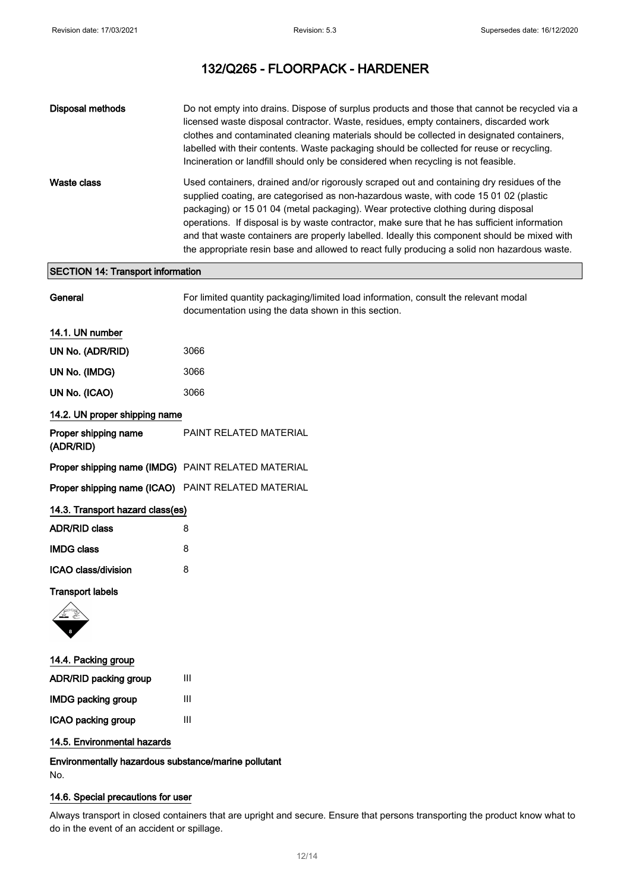| Disposal methods | Do not empty into drains. Dispose of surplus products and those that cannot be recycled via a<br>licensed waste disposal contractor. Waste, residues, empty containers, discarded work<br>clothes and contaminated cleaning materials should be collected in designated containers,<br>labelled with their contents. Waste packaging should be collected for reuse or recycling.<br>Incineration or landfill should only be considered when recycling is not feasible.                                                                                                   |
|------------------|--------------------------------------------------------------------------------------------------------------------------------------------------------------------------------------------------------------------------------------------------------------------------------------------------------------------------------------------------------------------------------------------------------------------------------------------------------------------------------------------------------------------------------------------------------------------------|
| Waste class      | Used containers, drained and/or rigorously scraped out and containing dry residues of the<br>supplied coating, are categorised as non-hazardous waste, with code 15 01 02 (plastic<br>packaging) or 15 01 04 (metal packaging). Wear protective clothing during disposal<br>operations. If disposal is by waste contractor, make sure that he has sufficient information<br>and that waste containers are properly labelled. Ideally this component should be mixed with<br>the appropriate resin base and allowed to react fully producing a solid non hazardous waste. |

## SECTION 14: Transport information

| General                           | For limited quantity packaging/limited load information, consult the relevant modal<br>documentation using the data shown in this section. |
|-----------------------------------|--------------------------------------------------------------------------------------------------------------------------------------------|
| 14.1. UN number                   |                                                                                                                                            |
| UN No. (ADR/RID)                  | 3066                                                                                                                                       |
| UN No. (IMDG)                     | 3066                                                                                                                                       |
| UN No. (ICAO)                     | 3066                                                                                                                                       |
| 14.2. UN proper shipping name     |                                                                                                                                            |
| Proper shipping name<br>(ADR/RID) | PAINT RELATED MATERIAL                                                                                                                     |
|                                   | Proper shipping name (IMDG) PAINT RELATED MATERIAL                                                                                         |
|                                   | Proper shipping name (ICAO) PAINT RELATED MATERIAL                                                                                         |
| 14.3. Transport hazard class(es)  |                                                                                                                                            |
| <b>ADR/RID class</b>              | 8                                                                                                                                          |
| <b>IMDG class</b>                 | 8                                                                                                                                          |
| ICAO class/division               | 8                                                                                                                                          |
| <b>Transport labels</b>           |                                                                                                                                            |
|                                   |                                                                                                                                            |
| 14.4. Packing group               |                                                                                                                                            |

| שטיופ שיווייטט ו דהדו     |   |
|---------------------------|---|
| ADR/RID packing group     | Ш |
| <b>IMDG packing group</b> | Ш |
| ICAO packing group        | Ш |
|                           |   |

### 14.5. Environmental hazards

Environmentally hazardous substance/marine pollutant No.

### 14.6. Special precautions for user

Always transport in closed containers that are upright and secure. Ensure that persons transporting the product know what to do in the event of an accident or spillage.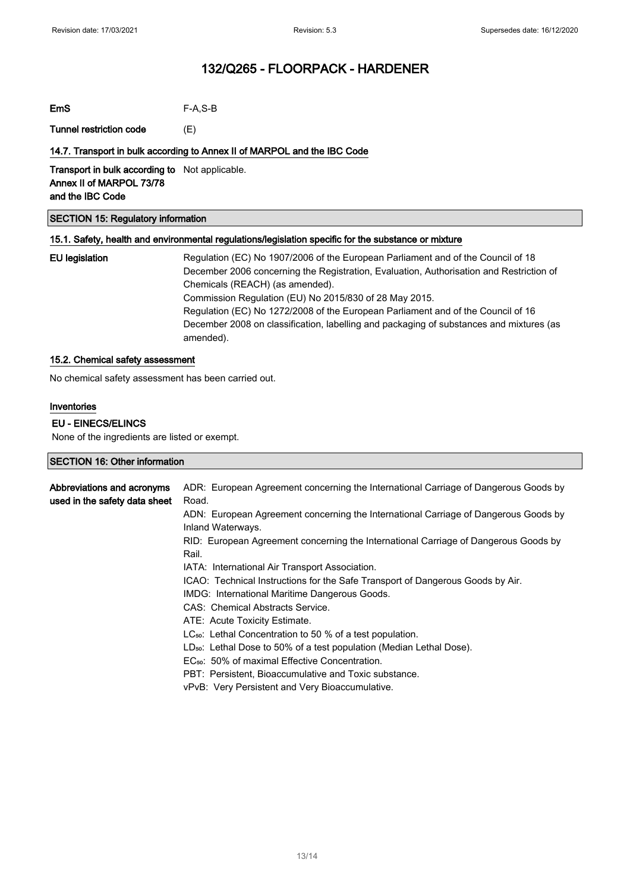EmS F-A,S-B

Tunnel restriction code (E)

### 14.7. Transport in bulk according to Annex II of MARPOL and the IBC Code

Transport in bulk according to Not applicable. Annex II of MARPOL 73/78 and the IBC Code

### SECTION 15: Regulatory information

### 15.1. Safety, health and environmental regulations/legislation specific for the substance or mixture

EU legislation Regulation (EC) No 1907/2006 of the European Parliament and of the Council of 18 December 2006 concerning the Registration, Evaluation, Authorisation and Restriction of Chemicals (REACH) (as amended). Commission Regulation (EU) No 2015/830 of 28 May 2015. Regulation (EC) No 1272/2008 of the European Parliament and of the Council of 16 December 2008 on classification, labelling and packaging of substances and mixtures (as amended).

#### 15.2. Chemical safety assessment

No chemical safety assessment has been carried out.

#### Inventories

### EU - EINECS/ELINCS

None of the ingredients are listed or exempt.

| SECTION 16: Other information |                                                                                     |  |
|-------------------------------|-------------------------------------------------------------------------------------|--|
|                               |                                                                                     |  |
| Abbreviations and acronyms    | ADR: European Agreement concerning the International Carriage of Dangerous Goods by |  |
| used in the safety data sheet | Road.                                                                               |  |
|                               | ADN: European Agreement concerning the International Carriage of Dangerous Goods by |  |
|                               | Inland Waterways.                                                                   |  |
|                               | RID: European Agreement concerning the International Carriage of Dangerous Goods by |  |
|                               | Rail.                                                                               |  |
|                               | IATA: International Air Transport Association.                                      |  |
|                               | ICAO: Technical Instructions for the Safe Transport of Dangerous Goods by Air.      |  |
|                               | IMDG: International Maritime Dangerous Goods.                                       |  |
|                               | CAS: Chemical Abstracts Service.                                                    |  |
|                               | ATE: Acute Toxicity Estimate.                                                       |  |
|                               | $LC_{50}$ : Lethal Concentration to 50 % of a test population.                      |  |
|                               | LD <sub>50</sub> : Lethal Dose to 50% of a test population (Median Lethal Dose).    |  |
|                               | EC <sub>50</sub> : 50% of maximal Effective Concentration.                          |  |
|                               | PBT: Persistent, Bioaccumulative and Toxic substance.                               |  |
|                               | vPvB: Very Persistent and Very Bioaccumulative.                                     |  |
|                               |                                                                                     |  |